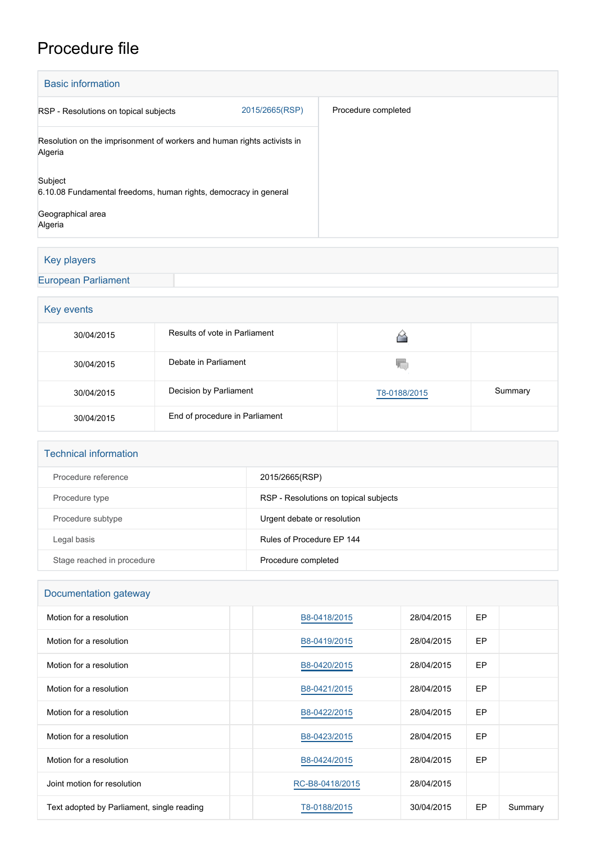# Procedure file

| <b>Basic information</b>                                                           |                     |  |  |  |  |  |
|------------------------------------------------------------------------------------|---------------------|--|--|--|--|--|
| 2015/2665(RSP)<br>RSP - Resolutions on topical subjects                            | Procedure completed |  |  |  |  |  |
| Resolution on the imprisonment of workers and human rights activists in<br>Algeria |                     |  |  |  |  |  |
| Subject<br>6.10.08 Fundamental freedoms, human rights, democracy in general        |                     |  |  |  |  |  |
| Geographical area<br>Algeria                                                       |                     |  |  |  |  |  |

# Key players

[European Parliament](http://www.europarl.europa.eu/)

### **Key events**

| 30/04/2015 | Results of vote in Parliament  |              |         |  |  |
|------------|--------------------------------|--------------|---------|--|--|
| 30/04/2015 | Debate in Parliament           | w            |         |  |  |
| 30/04/2015 | Decision by Parliament         | T8-0188/2015 | Summary |  |  |
| 30/04/2015 | End of procedure in Parliament |              |         |  |  |

#### Technical information

| Procedure reference        | 2015/2665(RSP)                        |
|----------------------------|---------------------------------------|
| Procedure type             | RSP - Resolutions on topical subjects |
| Procedure subtype          | Urgent debate or resolution           |
| Legal basis                | Rules of Procedure EP 144             |
| Stage reached in procedure | Procedure completed                   |

# Documentation gateway

| Motion for a resolution                    | B8-0418/2015    | 28/04/2015 | EP |         |
|--------------------------------------------|-----------------|------------|----|---------|
| Motion for a resolution                    | B8-0419/2015    | 28/04/2015 | EP |         |
| Motion for a resolution                    | B8-0420/2015    | 28/04/2015 | EP |         |
| Motion for a resolution                    | B8-0421/2015    | 28/04/2015 | EP |         |
| Motion for a resolution                    | B8-0422/2015    | 28/04/2015 | EP |         |
| Motion for a resolution                    | B8-0423/2015    | 28/04/2015 | EP |         |
| Motion for a resolution                    | B8-0424/2015    | 28/04/2015 | EP |         |
| Joint motion for resolution                | RC-B8-0418/2015 | 28/04/2015 |    |         |
| Text adopted by Parliament, single reading | T8-0188/2015    | 30/04/2015 | EP | Summary |